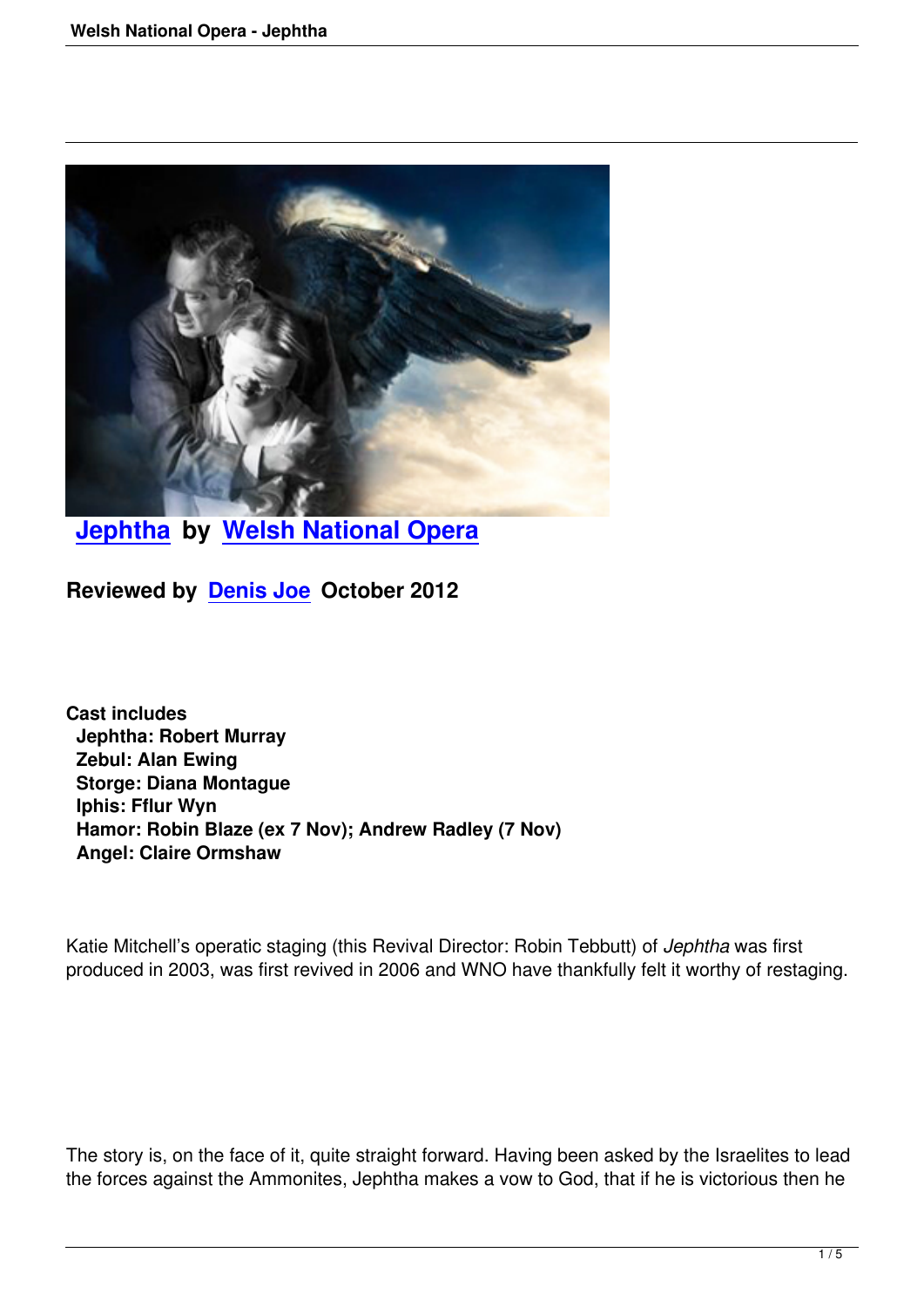

**Jephtha by Welsh National Opera**

**[Reviewed](welsh-national-opera-jephtha.html) by [Denis Joe October 2012](http://www.wno.org.uk/)**

**Cast includes Jephtha: Robert Murray Zebul: Alan Ewing Storge: Diana Montague Iphis: Fflur Wyn Hamor: Robin Blaze (ex 7 Nov); Andrew Radley (7 Nov) Angel: Claire Ormshaw**

Katie Mitchell's operatic staging (this Revival Director: Robin Tebbutt) of *Jephtha* was first produced in 2003, was first revived in 2006 and WNO have thankfully felt it worthy of restaging.

The story is, on the face of it, quite straight forward. Having been asked by the Israelites to lead the forces against the Ammonites, Jephtha makes a vow to God, that if he is victorious then he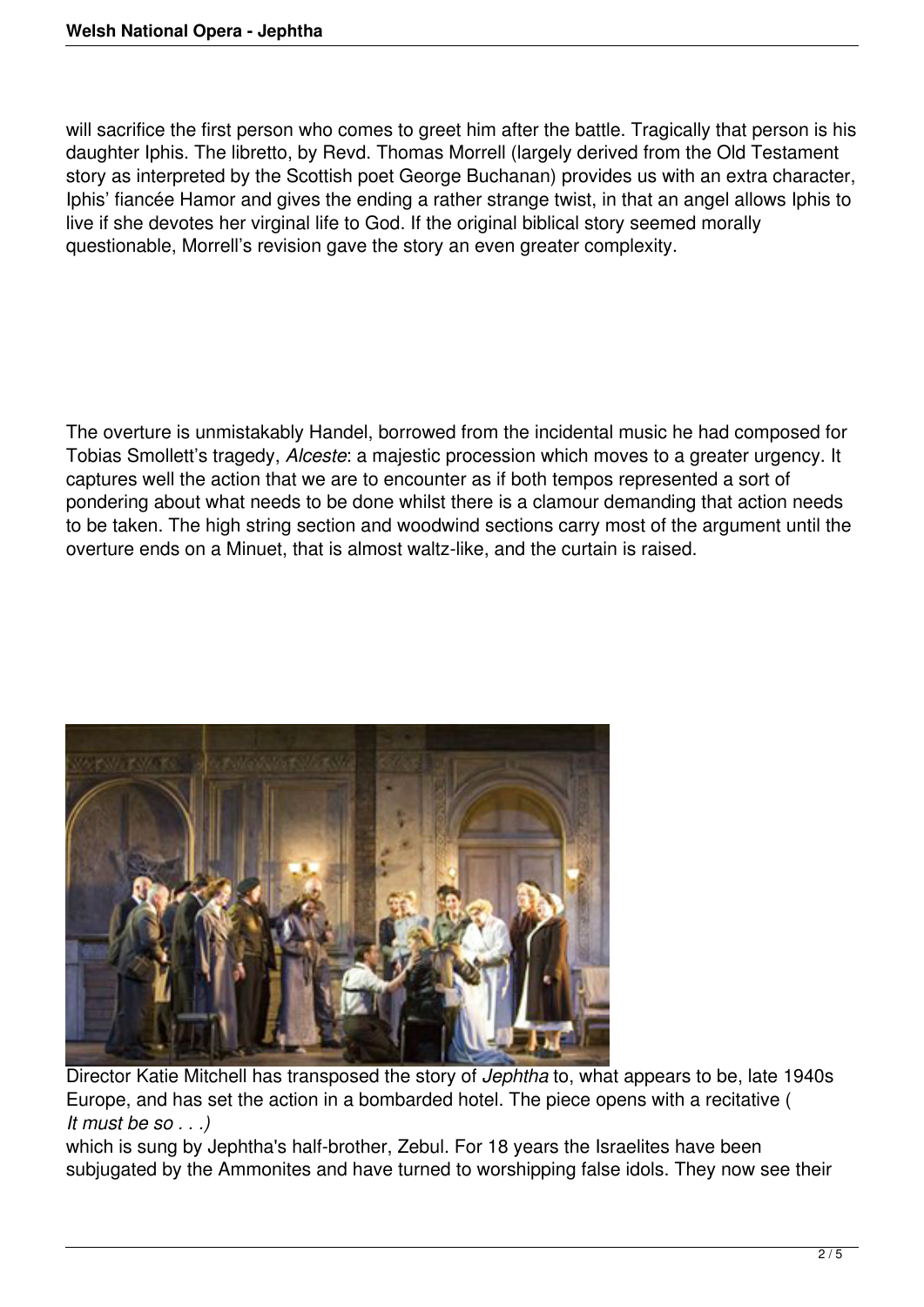will sacrifice the first person who comes to greet him after the battle. Tragically that person is his daughter Iphis. The libretto, by Revd. Thomas Morrell (largely derived from the Old Testament story as interpreted by the Scottish poet George Buchanan) provides us with an extra character, Iphis' fiancée Hamor and gives the ending a rather strange twist, in that an angel allows Iphis to live if she devotes her virginal life to God. If the original biblical story seemed morally questionable, Morrell's revision gave the story an even greater complexity.

The overture is unmistakably Handel, borrowed from the incidental music he had composed for Tobias Smollett's tragedy, *Alceste*: a majestic procession which moves to a greater urgency. It captures well the action that we are to encounter as if both tempos represented a sort of pondering about what needs to be done whilst there is a clamour demanding that action needs to be taken. The high string section and woodwind sections carry most of the argument until the overture ends on a Minuet, that is almost waltz-like, and the curtain is raised.



Director Katie Mitchell has transposed the story of *Jephtha* to, what appears to be, late 1940s Europe, and has set the action in a bombarded hotel. The piece opens with a recitative ( *It must be so . . .)*

which is sung by Jephtha's half-brother, Zebul. For 18 years the Israelites have been subjugated by the Ammonites and have turned to worshipping false idols. They now see their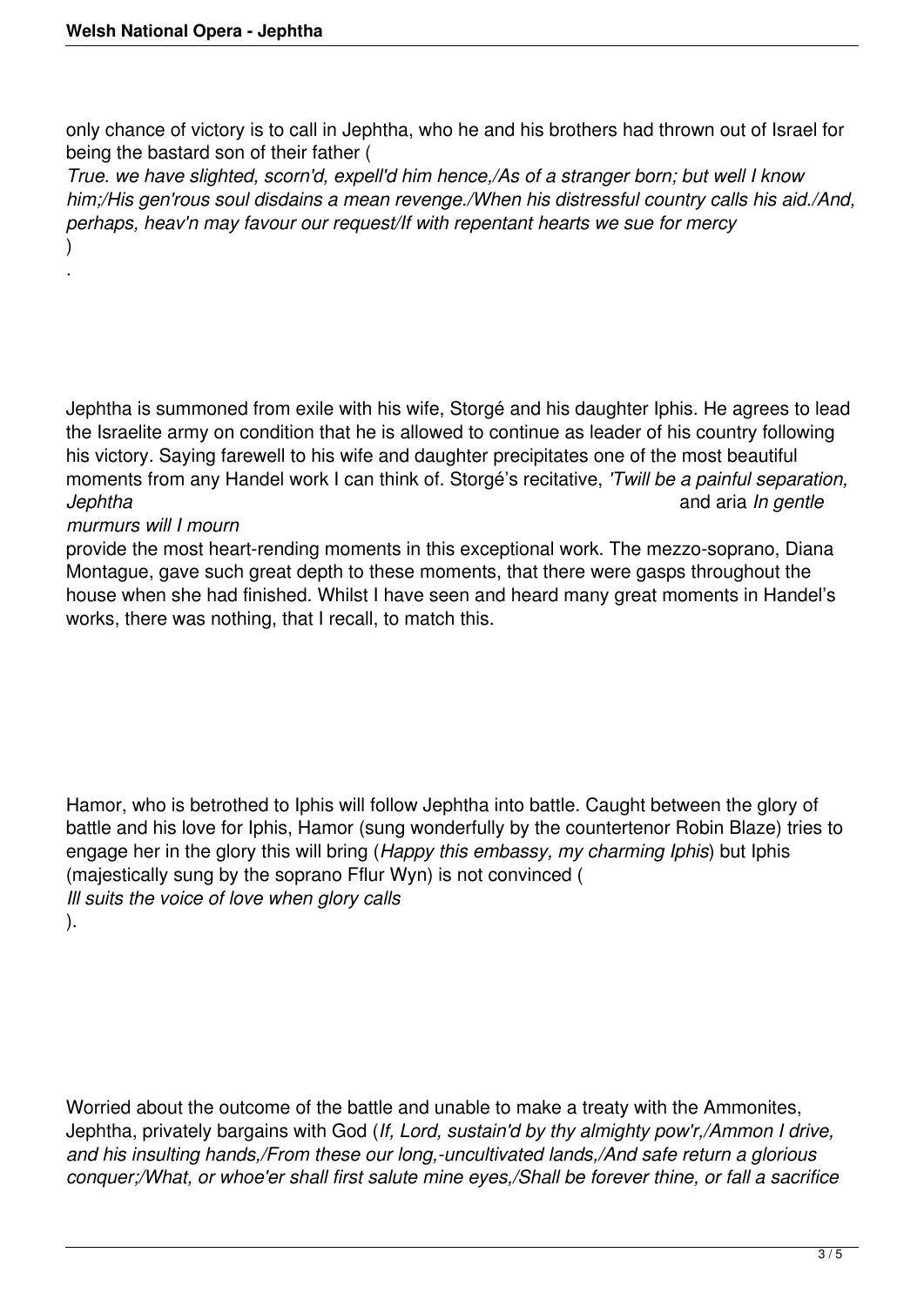only chance of victory is to call in Jephtha, who he and his brothers had thrown out of Israel for being the bastard son of their father (

*True. we have slighted, scorn'd, expell'd him hence,/As of a stranger born; but well I know him;/His gen'rous soul disdains a mean revenge./When his distressful country calls his aid./And, perhaps, heav'n may favour our request/If with repentant hearts we sue for mercy* )

Jephtha is summoned from exile with his wife, Storgé and his daughter Iphis. He agrees to lead the Israelite army on condition that he is allowed to continue as leader of his country following his victory. Saying farewell to his wife and daughter precipitates one of the most beautiful moments from any Handel work I can think of. Storgé's recitative, *'Twill be a painful separation, Jephtha* and aria *In gentle*

## *murmurs will I mourn*

*.*

provide the most heart-rending moments in this exceptional work. The mezzo-soprano, Diana Montague, gave such great depth to these moments, that there were gasps throughout the house when she had finished. Whilst I have seen and heard many great moments in Handel's works, there was nothing, that I recall, to match this.

Hamor, who is betrothed to Iphis will follow Jephtha into battle. Caught between the glory of battle and his love for Iphis, Hamor (sung wonderfully by the countertenor Robin Blaze) tries to engage her in the glory this will bring (*Happy this embassy, my charming Iphis*) but Iphis (majestically sung by the soprano Fflur Wyn) is not convinced ( *Ill suits the voice of love when glory calls* ).

Worried about the outcome of the battle and unable to make a treaty with the Ammonites, Jephtha, privately bargains with God (*If, Lord, sustain'd by thy almighty pow'r,/Ammon I drive, and his insulting hands,/From these our long,-uncultivated lands,/And safe return a glorious conquer;/What, or whoe'er shall first salute mine eyes,/Shall be forever thine, or fall a sacrifice*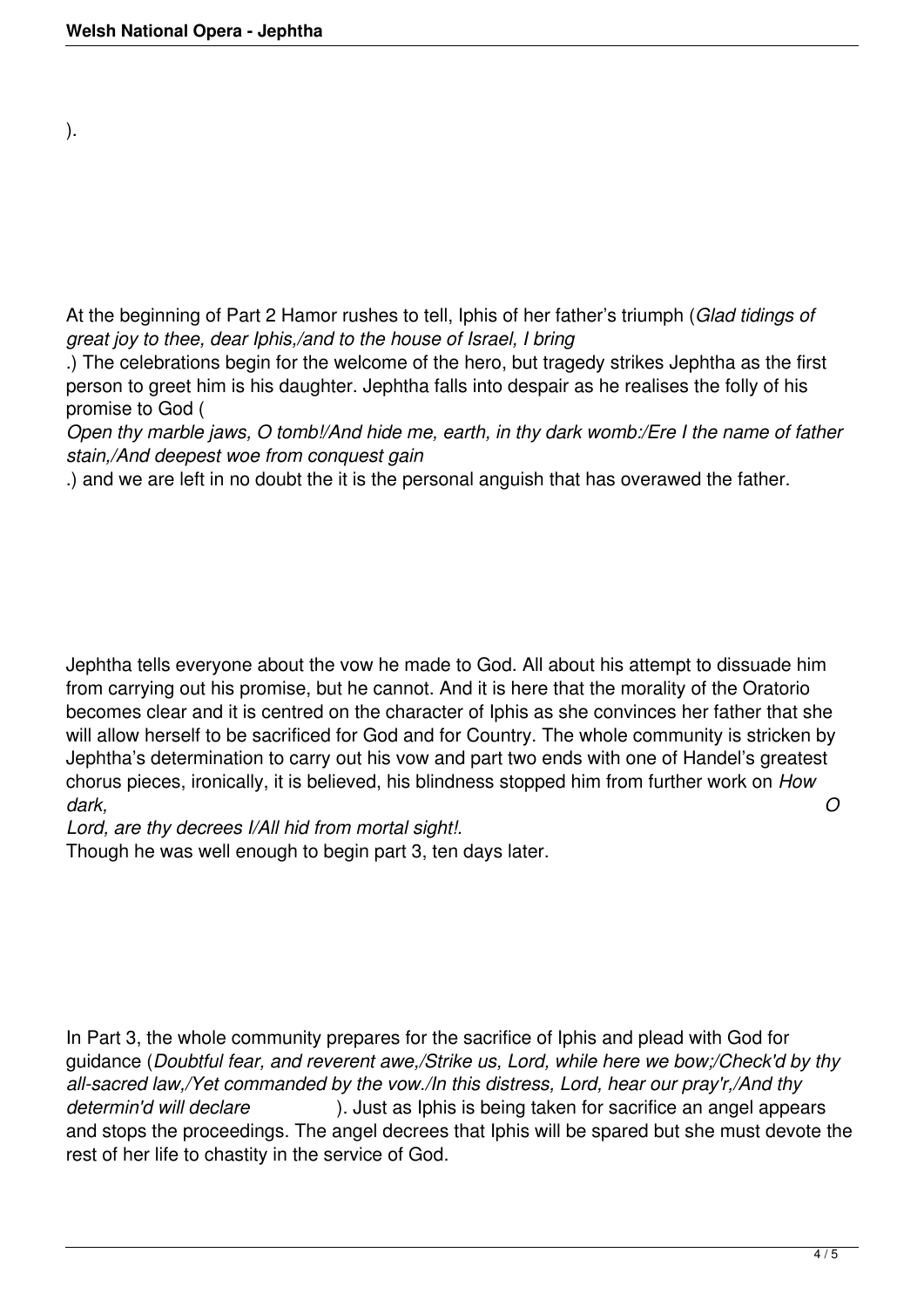).

At the beginning of Part 2 Hamor rushes to tell, Iphis of her father's triumph (*Glad tidings of great joy to thee, dear Iphis,/and to the house of Israel, I bring*

.) The celebrations begin for the welcome of the hero, but tragedy strikes Jephtha as the first person to greet him is his daughter. Jephtha falls into despair as he realises the folly of his promise to God (

*Open thy marble jaws, O tomb!/And hide me, earth, in thy dark womb:/Ere I the name of father stain,/And deepest woe from conquest gain*

.) and we are left in no doubt the it is the personal anguish that has overawed the father.

Jephtha tells everyone about the vow he made to God. All about his attempt to dissuade him from carrying out his promise, but he cannot. And it is here that the morality of the Oratorio becomes clear and it is centred on the character of Iphis as she convinces her father that she will allow herself to be sacrificed for God and for Country. The whole community is stricken by Jephtha's determination to carry out his vow and part two ends with one of Handel's greatest chorus pieces, ironically, it is believed, his blindness stopped him from further work on *How dark, O*

*Lord, are thy decrees I/All hid from mortal sight!.* 

Though he was well enough to begin part 3, ten days later.

In Part 3, the whole community prepares for the sacrifice of Iphis and plead with God for guidance (*Doubtful fear, and reverent awe,/Strike us, Lord, while here we bow;/Check'd by thy all-sacred law,/Yet commanded by the vow./In this distress, Lord, hear our pray'r,/And thy determin'd will declare* ). Just as Iphis is being taken for sacrifice an angel appears and stops the proceedings. The angel decrees that Iphis will be spared but she must devote the rest of her life to chastity in the service of God.